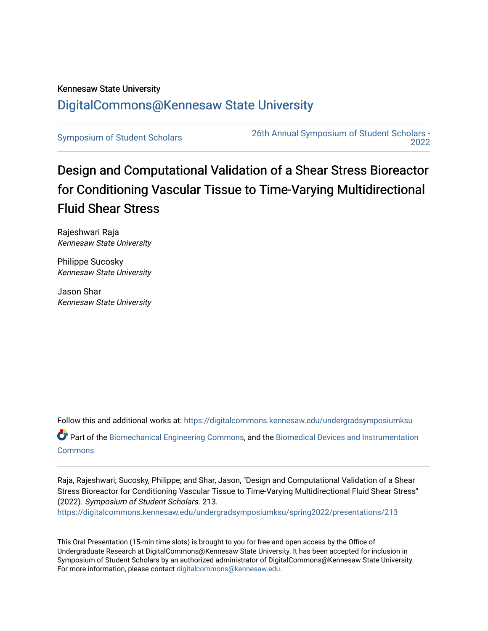## Kennesaw State University [DigitalCommons@Kennesaw State University](https://digitalcommons.kennesaw.edu/)

[Symposium of Student Scholars](https://digitalcommons.kennesaw.edu/undergradsymposiumksu) [26th Annual Symposium of Student Scholars -](https://digitalcommons.kennesaw.edu/undergradsymposiumksu/spring2022)  [2022](https://digitalcommons.kennesaw.edu/undergradsymposiumksu/spring2022) 

## Design and Computational Validation of a Shear Stress Bioreactor for Conditioning Vascular Tissue to Time-Varying Multidirectional Fluid Shear Stress

Rajeshwari Raja Kennesaw State University

Philippe Sucosky Kennesaw State University

Jason Shar Kennesaw State University

Follow this and additional works at: [https://digitalcommons.kennesaw.edu/undergradsymposiumksu](https://digitalcommons.kennesaw.edu/undergradsymposiumksu?utm_source=digitalcommons.kennesaw.edu%2Fundergradsymposiumksu%2Fspring2022%2Fpresentations%2F213&utm_medium=PDF&utm_campaign=PDFCoverPages) 

Part of the [Biomechanical Engineering Commons](http://network.bepress.com/hgg/discipline/296?utm_source=digitalcommons.kennesaw.edu%2Fundergradsymposiumksu%2Fspring2022%2Fpresentations%2F213&utm_medium=PDF&utm_campaign=PDFCoverPages), and the [Biomedical Devices and Instrumentation](http://network.bepress.com/hgg/discipline/235?utm_source=digitalcommons.kennesaw.edu%2Fundergradsymposiumksu%2Fspring2022%2Fpresentations%2F213&utm_medium=PDF&utm_campaign=PDFCoverPages) [Commons](http://network.bepress.com/hgg/discipline/235?utm_source=digitalcommons.kennesaw.edu%2Fundergradsymposiumksu%2Fspring2022%2Fpresentations%2F213&utm_medium=PDF&utm_campaign=PDFCoverPages)

Raja, Rajeshwari; Sucosky, Philippe; and Shar, Jason, "Design and Computational Validation of a Shear Stress Bioreactor for Conditioning Vascular Tissue to Time-Varying Multidirectional Fluid Shear Stress" (2022). Symposium of Student Scholars. 213.

[https://digitalcommons.kennesaw.edu/undergradsymposiumksu/spring2022/presentations/213](https://digitalcommons.kennesaw.edu/undergradsymposiumksu/spring2022/presentations/213?utm_source=digitalcommons.kennesaw.edu%2Fundergradsymposiumksu%2Fspring2022%2Fpresentations%2F213&utm_medium=PDF&utm_campaign=PDFCoverPages)

This Oral Presentation (15-min time slots) is brought to you for free and open access by the Office of Undergraduate Research at DigitalCommons@Kennesaw State University. It has been accepted for inclusion in Symposium of Student Scholars by an authorized administrator of DigitalCommons@Kennesaw State University. For more information, please contact [digitalcommons@kennesaw.edu.](mailto:digitalcommons@kennesaw.edu)